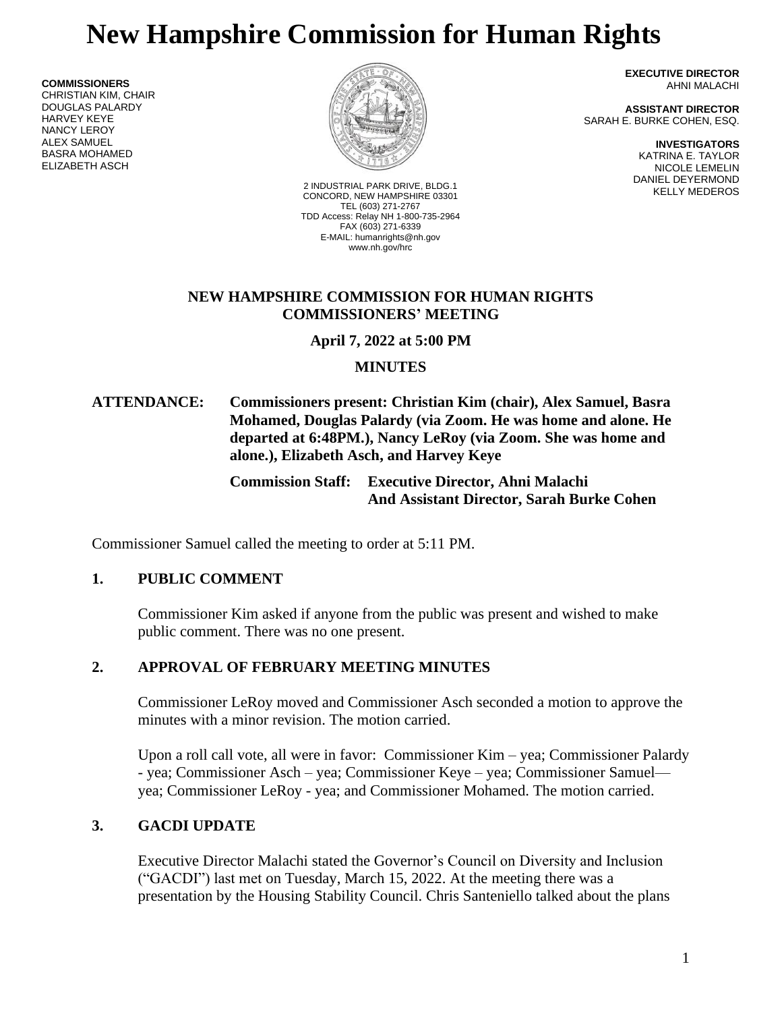# **New Hampshire Commission for Human Rights**

**COMMISSIONERS** CHRISTIAN KIM, CHAIR DOUGLAS PALARDY HARVEY KEYE NANCY LEROY ALEX SAMUEL BASRA MOHAMED ELIZABETH ASCH



KELLY MEDEROS 2 INDUSTRIAL PARK DRIVE, BLDG.1 CONCORD, NEW HAMPSHIRE 03301 TEL (603) 271-2767 TDD Access: Relay NH 1-800-735-2964 FAX (603) 271-6339 E-MAIL: humanrights@nh.gov www.nh.gov/hrc

**EXECUTIVE DIRECTOR** AHNI MALACHI

**ASSISTANT DIRECTOR** SARAH E. BURKE COHEN, ESQ.

> **INVESTIGATORS** KATRINA E. TAYLOR NICOLE LEMELIN DANIEL DEYERMOND

### **NEW HAMPSHIRE COMMISSION FOR HUMAN RIGHTS COMMISSIONERS' MEETING**

**April 7, 2022 at 5:00 PM**

# **MINUTES**

# **ATTENDANCE: Commissioners present: Christian Kim (chair), Alex Samuel, Basra Mohamed, Douglas Palardy (via Zoom. He was home and alone. He departed at 6:48PM.), Nancy LeRoy (via Zoom. She was home and alone.), Elizabeth Asch, and Harvey Keye**

**Commission Staff: Executive Director, Ahni Malachi And Assistant Director, Sarah Burke Cohen**

Commissioner Samuel called the meeting to order at 5:11 PM.

# **1. PUBLIC COMMENT**

Commissioner Kim asked if anyone from the public was present and wished to make public comment. There was no one present.

# **2. APPROVAL OF FEBRUARY MEETING MINUTES**

Commissioner LeRoy moved and Commissioner Asch seconded a motion to approve the minutes with a minor revision. The motion carried.

Upon a roll call vote, all were in favor: Commissioner Kim – yea; Commissioner Palardy - yea; Commissioner Asch – yea; Commissioner Keye – yea; Commissioner Samuel yea; Commissioner LeRoy - yea; and Commissioner Mohamed. The motion carried.

# **3. GACDI UPDATE**

Executive Director Malachi stated the Governor's Council on Diversity and Inclusion ("GACDI") last met on Tuesday, March 15, 2022. At the meeting there was a presentation by the Housing Stability Council. Chris Santeniello talked about the plans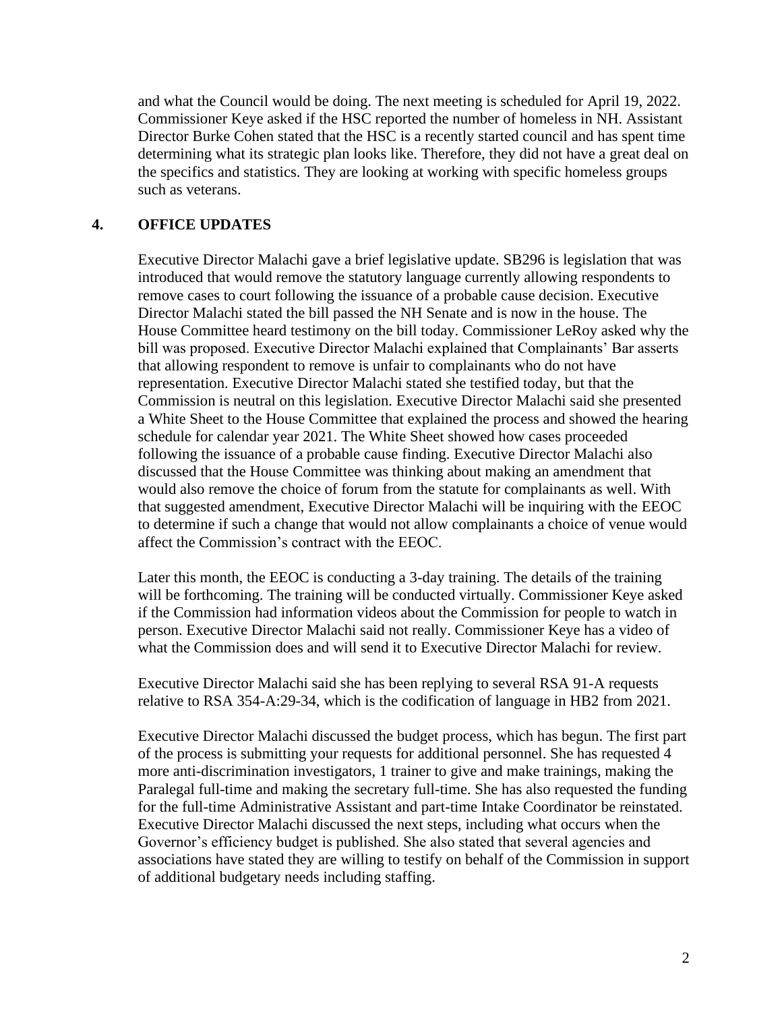and what the Council would be doing. The next meeting is scheduled for April 19, 2022. Commissioner Keye asked if the HSC reported the number of homeless in NH. Assistant Director Burke Cohen stated that the HSC is a recently started council and has spent time determining what its strategic plan looks like. Therefore, they did not have a great deal on the specifics and statistics. They are looking at working with specific homeless groups such as veterans.

#### **4. OFFICE UPDATES**

Executive Director Malachi gave a brief legislative update. SB296 is legislation that was introduced that would remove the statutory language currently allowing respondents to remove cases to court following the issuance of a probable cause decision. Executive Director Malachi stated the bill passed the NH Senate and is now in the house. The House Committee heard testimony on the bill today. Commissioner LeRoy asked why the bill was proposed. Executive Director Malachi explained that Complainants' Bar asserts that allowing respondent to remove is unfair to complainants who do not have representation. Executive Director Malachi stated she testified today, but that the Commission is neutral on this legislation. Executive Director Malachi said she presented a White Sheet to the House Committee that explained the process and showed the hearing schedule for calendar year 2021. The White Sheet showed how cases proceeded following the issuance of a probable cause finding. Executive Director Malachi also discussed that the House Committee was thinking about making an amendment that would also remove the choice of forum from the statute for complainants as well. With that suggested amendment, Executive Director Malachi will be inquiring with the EEOC to determine if such a change that would not allow complainants a choice of venue would affect the Commission's contract with the EEOC.

Later this month, the EEOC is conducting a 3-day training. The details of the training will be forthcoming. The training will be conducted virtually. Commissioner Keye asked if the Commission had information videos about the Commission for people to watch in person. Executive Director Malachi said not really. Commissioner Keye has a video of what the Commission does and will send it to Executive Director Malachi for review.

Executive Director Malachi said she has been replying to several RSA 91-A requests relative to RSA 354-A:29-34, which is the codification of language in HB2 from 2021.

Executive Director Malachi discussed the budget process, which has begun. The first part of the process is submitting your requests for additional personnel. She has requested 4 more anti-discrimination investigators, 1 trainer to give and make trainings, making the Paralegal full-time and making the secretary full-time. She has also requested the funding for the full-time Administrative Assistant and part-time Intake Coordinator be reinstated. Executive Director Malachi discussed the next steps, including what occurs when the Governor's efficiency budget is published. She also stated that several agencies and associations have stated they are willing to testify on behalf of the Commission in support of additional budgetary needs including staffing.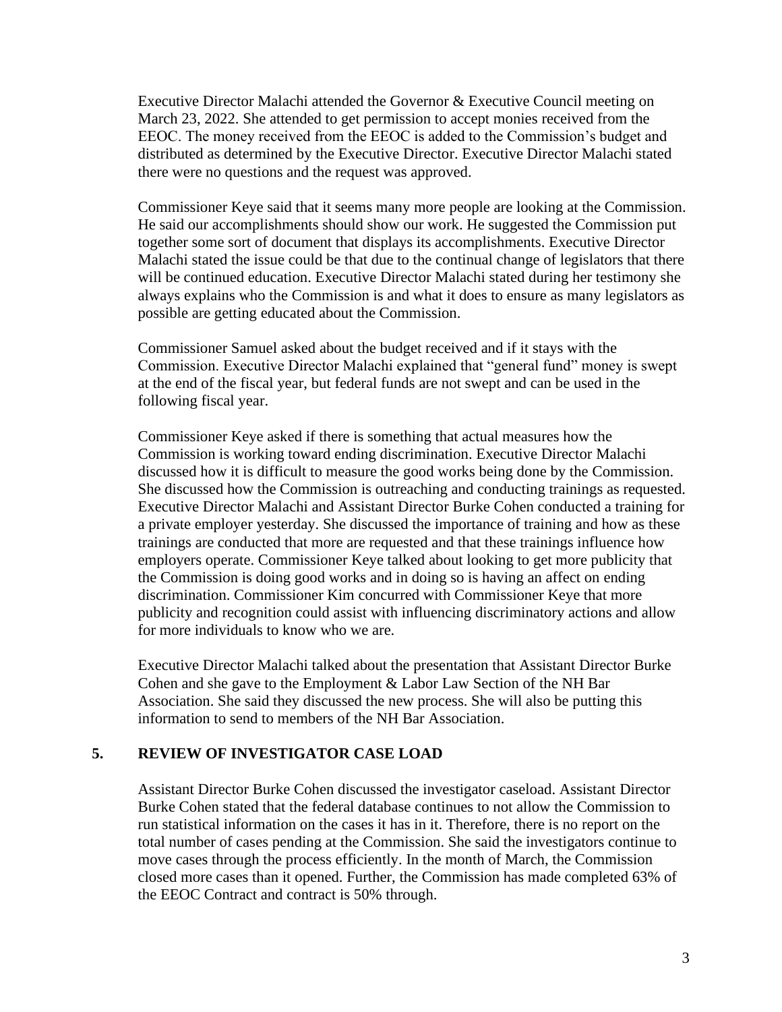Executive Director Malachi attended the Governor & Executive Council meeting on March 23, 2022. She attended to get permission to accept monies received from the EEOC. The money received from the EEOC is added to the Commission's budget and distributed as determined by the Executive Director. Executive Director Malachi stated there were no questions and the request was approved.

Commissioner Keye said that it seems many more people are looking at the Commission. He said our accomplishments should show our work. He suggested the Commission put together some sort of document that displays its accomplishments. Executive Director Malachi stated the issue could be that due to the continual change of legislators that there will be continued education. Executive Director Malachi stated during her testimony she always explains who the Commission is and what it does to ensure as many legislators as possible are getting educated about the Commission.

Commissioner Samuel asked about the budget received and if it stays with the Commission. Executive Director Malachi explained that "general fund" money is swept at the end of the fiscal year, but federal funds are not swept and can be used in the following fiscal year.

Commissioner Keye asked if there is something that actual measures how the Commission is working toward ending discrimination. Executive Director Malachi discussed how it is difficult to measure the good works being done by the Commission. She discussed how the Commission is outreaching and conducting trainings as requested. Executive Director Malachi and Assistant Director Burke Cohen conducted a training for a private employer yesterday. She discussed the importance of training and how as these trainings are conducted that more are requested and that these trainings influence how employers operate. Commissioner Keye talked about looking to get more publicity that the Commission is doing good works and in doing so is having an affect on ending discrimination. Commissioner Kim concurred with Commissioner Keye that more publicity and recognition could assist with influencing discriminatory actions and allow for more individuals to know who we are.

Executive Director Malachi talked about the presentation that Assistant Director Burke Cohen and she gave to the Employment & Labor Law Section of the NH Bar Association. She said they discussed the new process. She will also be putting this information to send to members of the NH Bar Association.

#### **5. REVIEW OF INVESTIGATOR CASE LOAD**

Assistant Director Burke Cohen discussed the investigator caseload. Assistant Director Burke Cohen stated that the federal database continues to not allow the Commission to run statistical information on the cases it has in it. Therefore, there is no report on the total number of cases pending at the Commission. She said the investigators continue to move cases through the process efficiently. In the month of March, the Commission closed more cases than it opened. Further, the Commission has made completed 63% of the EEOC Contract and contract is 50% through.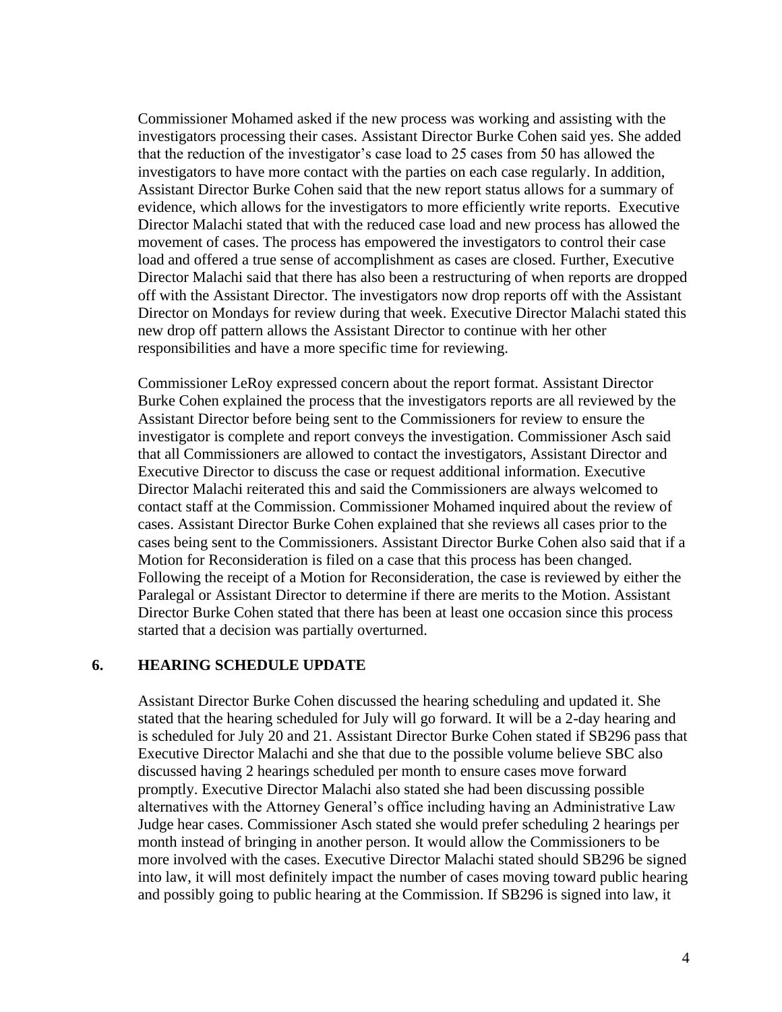Commissioner Mohamed asked if the new process was working and assisting with the investigators processing their cases. Assistant Director Burke Cohen said yes. She added that the reduction of the investigator's case load to 25 cases from 50 has allowed the investigators to have more contact with the parties on each case regularly. In addition, Assistant Director Burke Cohen said that the new report status allows for a summary of evidence, which allows for the investigators to more efficiently write reports. Executive Director Malachi stated that with the reduced case load and new process has allowed the movement of cases. The process has empowered the investigators to control their case load and offered a true sense of accomplishment as cases are closed. Further, Executive Director Malachi said that there has also been a restructuring of when reports are dropped off with the Assistant Director. The investigators now drop reports off with the Assistant Director on Mondays for review during that week. Executive Director Malachi stated this new drop off pattern allows the Assistant Director to continue with her other responsibilities and have a more specific time for reviewing.

Commissioner LeRoy expressed concern about the report format. Assistant Director Burke Cohen explained the process that the investigators reports are all reviewed by the Assistant Director before being sent to the Commissioners for review to ensure the investigator is complete and report conveys the investigation. Commissioner Asch said that all Commissioners are allowed to contact the investigators, Assistant Director and Executive Director to discuss the case or request additional information. Executive Director Malachi reiterated this and said the Commissioners are always welcomed to contact staff at the Commission. Commissioner Mohamed inquired about the review of cases. Assistant Director Burke Cohen explained that she reviews all cases prior to the cases being sent to the Commissioners. Assistant Director Burke Cohen also said that if a Motion for Reconsideration is filed on a case that this process has been changed. Following the receipt of a Motion for Reconsideration, the case is reviewed by either the Paralegal or Assistant Director to determine if there are merits to the Motion. Assistant Director Burke Cohen stated that there has been at least one occasion since this process started that a decision was partially overturned.

#### **6. HEARING SCHEDULE UPDATE**

Assistant Director Burke Cohen discussed the hearing scheduling and updated it. She stated that the hearing scheduled for July will go forward. It will be a 2-day hearing and is scheduled for July 20 and 21. Assistant Director Burke Cohen stated if SB296 pass that Executive Director Malachi and she that due to the possible volume believe SBC also discussed having 2 hearings scheduled per month to ensure cases move forward promptly. Executive Director Malachi also stated she had been discussing possible alternatives with the Attorney General's office including having an Administrative Law Judge hear cases. Commissioner Asch stated she would prefer scheduling 2 hearings per month instead of bringing in another person. It would allow the Commissioners to be more involved with the cases. Executive Director Malachi stated should SB296 be signed into law, it will most definitely impact the number of cases moving toward public hearing and possibly going to public hearing at the Commission. If SB296 is signed into law, it